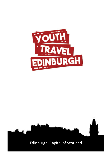

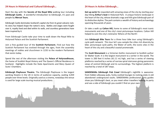#### **24 Hours in Historical and Cultural Edinburgh…**

Start the day with the **Secrets of the Royal Mile** walking tour including **Edinburgh Castle.** A wonderful introduction to Edinburgh, it's past and people by **Mercat Tours.**

Edinburgh Castle dominates Scotland's capital city from its great volcanic rock. Its story has helped shape the nation's story. Battles and sieges were fought over it, royalty lived and died within its walls, and countless generations have been inspired by it.

From Edinburgh Castle take your time to walk down the Royal Mile to Holyrood Palace and the Scottish Parliament.

Join a free guided tour of the **Scottish Parliament.** Find out how the Scottish Parliament has evolved through the ages, from the assembly meetings of nobles and churchmen in 1235 to the modern Parliament that exists today.

Spend the rest of the afternoon visiting the **Palace of Holyroodhouse,**  the home of Scottish Royal History and The Queen's Official Residence in Scotland. Highlights include the State Apartments and Mary Queen of Scots' Chambers.

**Edinburgh Playhouse Theatre.** The Edinburgh Playhouse is the largest working theatre in the UK in terms of audience capacity, seating 3,059 people over three levels. Originally used as a cinema, nowadays the venue is used for large scale touring musical productions.

#### **24 Hours in Active Edinburgh…**

**Get up early!** Be rewarded with amazing views of the city by starting your day hiking **Arthur's Seat** in Holyrood Park. A unique historic landscape in the heart of the city, whose dramatic crags and hills give Edinburgh part of its distinctive skyline. The park contains a wealth of history and archaeology spanning thousands of years.

Or take a walk up **Calton Hill,** home to some of Edinburgh's most iconic monuments and one of the city's most picturesque locations. Calton Hill helped to coin the city's nickname 'Athens of the North'.

Join **Edinburgh Bike Tours** for a three hour bike tour using Edinburgh's cycle path network. This tour let's you sample the cities rich diversity by bike: picturesque cycle paths, the Water of Leith, the iconic sites in the heart of the city and a beautiful coastal promenade.

The **Scott Monument** is a Victorian Gothic monument to Scottish author Sir Walter Scott. It is the largest monument to a writer in the world. The tower is 200 feet 6 inches (61.11 m) high, and has a series of viewing platforms reached by a series of narrow spiral staircases giving panoramic views of central Edinburgh and its surroundings. The highest platform is reached by a total of 287 steps.

**SANDEMANs Edinburgh Pub Crawl** Edinburgh's nightlife is awesome: from hidden alleyway pubs, funky cocktail lounges to rocking clubs in old abandoned underground vaults. SANDEMANs professional party guides show you Edinburgh's best, as you meet other travellers looking to party and see a side of Edinburgh you couldn't find on your own.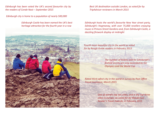*Edinburgh has been voted the UK's second favourite city by the readers of Conde Nast – September 2015*

*Edinburgh city is home to a population of nearly 500,000*

*Edinburgh Castle has been named the UK's best heritage attraction for the fourth year in a row*



*Best UK destination outside London, as voted for by TripAdvisor reviewers in March 2015*

*Edinburgh hosts the world's favourite New Year street party, Edinburgh's Hogmanay, with over 75,000 revellers enjoying music in Princes Street Gardens and, from Edinburgh Castle, a dazzling firework display at midnight*

*Fourth most beautiful city in the world as voted for by Rough Guide readers in February 2015*

> *The number of tickets sold for Edinburgh's festival events are only exceeded by the Olympics and the World Cup*

*Rated third safest city in the world in survey by Post Office Travel Insurance, March 2015*

> *One of world's top ten cities, and in the top three cities in Europe, as voted for by Wanderlust Reader's Travel Awards, in February 2015*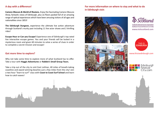### **A day with a difference!**

**Camera Obscura & World of Illusions.** Enjoy the fascinating Camera Obscura Show, fantastic views of Edinburgh, plus six floors packed full of an amazing range of optical experiences which have been amusing visitors of all ages and nationalities since 1853!

**The Edinburgh Dungeon,** experience the ultimate live action adventure through Scotland's murky past including 11 live actor shows and 2 thrilling rides!

**Escape Hour or Can you Escape!** Experience one of Edinburgh's top rated live interactive escape games. You and your friends will be locked in a mysterious room and given 60 minutes to solve a series of clues in order to complete a secret mission and escape!

#### **Got more time to explore?**

Why not take some time to explore more of what Scotland has to offer. Take a tour with **Haggis Adventures** or **Rabbie's Small Group Tours.**

Take a trip out of the city to visit East Lothian, 40 miles of breath-taking coastline and award winning beaches just a few miles from the city! Join a two hour "learn to surf" class with **Coast to Coast Surf School** and learn how to catch waves!

## **For more information on where to stay and what to do in Edinburgh visit:**







www.visitscotland.com



www.thisisedinburgh.com

| Edinburgh |
|-----------|
| Festival  |
| City.com  |